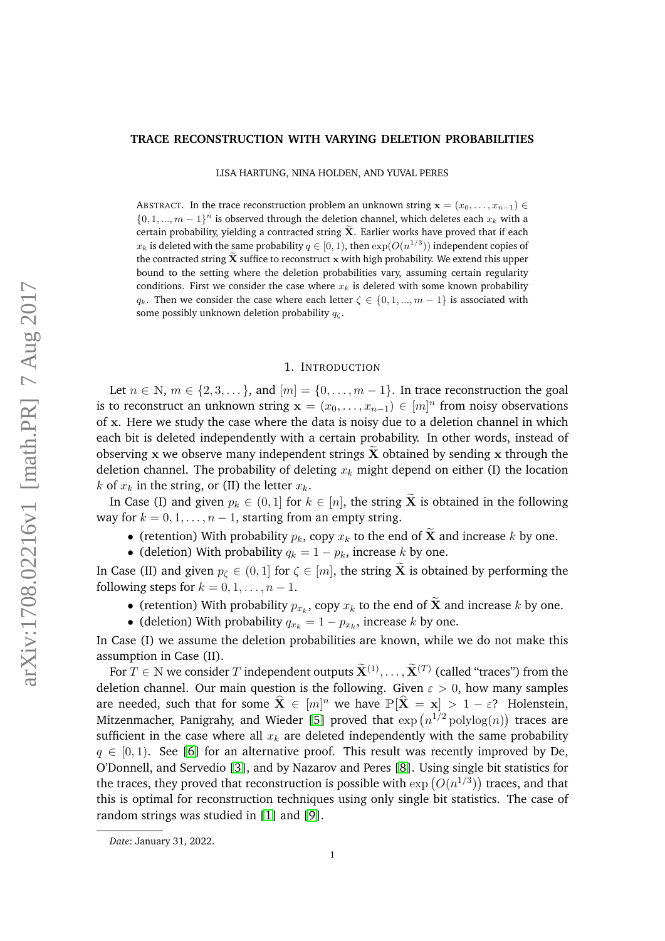### **TRACE RECONSTRUCTION WITH VARYING DELETION PROBABILITIES**

LISA HARTUNG, NINA HOLDEN, AND YUVAL PERES

ABSTRACT. In the trace reconstruction problem an unknown string  $\mathbf{x} = (x_0, \ldots, x_{n-1}) \in$  $\{0, 1, ..., m-1\}^n$  is observed through the deletion channel, which deletes each  $x_k$  with a certain probability, yielding a contracted string  $\widetilde{\mathbf{X}}$ . Earlier works have proved that if each  $x_k$  is deleted with the same probability  $q\in[0,1),$  then  $\exp(O(n^{1/3}))$  independent copies of the contracted string  $X$  suffice to reconstruct  $x$  with high probability. We extend this upper bound to the setting where the deletion probabilities vary, assuming certain regularity conditions. First we consider the case where  $x_k$  is deleted with some known probability  $q_k$ . Then we consider the case where each letter  $\zeta \in \{0, 1, ..., m-1\}$  is associated with some possibly unknown deletion probability  $q_c$ .

### 1. INTRODUCTION

Let  $n \in \mathbb{N}$ ,  $m \in \{2, 3, \dots\}$ , and  $[m] = \{0, \dots, m-1\}$ . In trace reconstruction the goal is to reconstruct an unknown string  $\mathbf{x} = (x_0, \dots, x_{n-1}) \in [m]^n$  from noisy observations of x. Here we study the case where the data is noisy due to a deletion channel in which each bit is deleted independently with a certain probability. In other words, instead of observing x we observe many independent strings  $X$  obtained by sending x through the deletion channel. The probability of deleting  $x_k$  might depend on either (I) the location k of  $x_k$  in the string, or (II) the letter  $x_k$ .

In Case (I) and given  $p_k \in (0,1]$  for  $k \in [n]$ , the string  $\tilde{\mathbf{X}}$  is obtained in the following way for  $k = 0, 1, \ldots, n - 1$ , starting from an empty string.

- (retention) With probability  $p_k$ , copy  $x_k$  to the end of  $\tilde{\mathbf{X}}$  and increase k by one.
- (deletion) With probability  $q_k = 1 p_k$ , increase k by one.

In Case (II) and given  $p_{\zeta} \in (0,1]$  for  $\zeta \in [m]$ , the string  $\tilde{\mathbf{X}}$  is obtained by performing the following steps for  $k = 0, 1, \ldots, n - 1$ .

- (retention) With probability  $p_{x_k}$ , copy  $x_k$  to the end of **X** and increase k by one.
- (deletion) With probability  $q_{x_k} = 1 p_{x_k}$ , increase k by one.

In Case (I) we assume the deletion probabilities are known, while we do not make this assumption in Case (II).

For  $T \in \mathbb{N}$  we consider T independent outputs  $\widetilde{\mathbf{X}}^{(1)}, \ldots, \widetilde{\mathbf{X}}^{(T)}$  (called "traces") from the deletion channel. Our main question is the following. Given  $\varepsilon > 0$ , how many samples are needed, such that for some  $\widehat{\mathbf{X}} \in [m]^n$  we have  $\mathbb{P}[\widehat{\mathbf{X}} = \mathbf{x}] > 1 - \varepsilon$ ? Holenstein, Mitzenmacher, Panigrahy, and Wieder [\[5\]](#page-9-0) proved that  $\exp\left(n^{1/2}\operatorname{polylog}(n)\right)$  traces are sufficient in the case where all  $x_k$  are deleted independently with the same probability  $q \in [0, 1)$ . See [\[6\]](#page-9-1) for an alternative proof. This result was recently improved by De, O'Donnell, and Servedio [\[3\]](#page-8-0), and by Nazarov and Peres [\[8\]](#page-9-2). Using single bit statistics for the traces, they proved that reconstruction is possible with  $\exp\left(O(n^{1/3})\right)$  traces, and that this is optimal for reconstruction techniques using only single bit statistics. The case of random strings was studied in [\[1\]](#page-8-1) and [\[9\]](#page-9-3).

*Date*: January 31, 2022.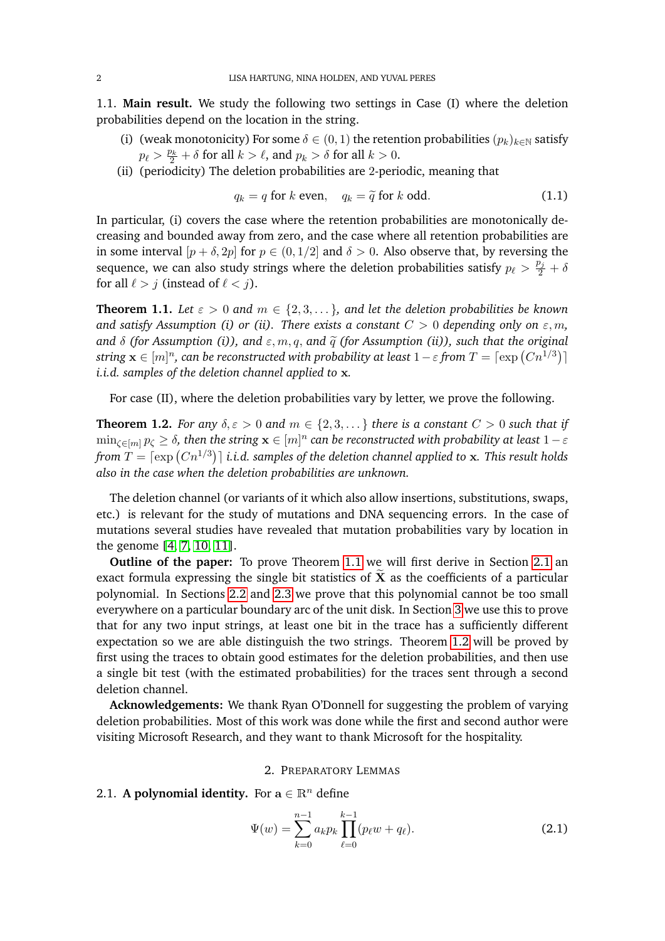1.1. **Main result.** We study the following two settings in Case (I) where the deletion probabilities depend on the location in the string.

- (i) (weak monotonicity) For some  $\delta \in (0,1)$  the retention probabilities  $(p_k)_{k \in \mathbb{N}}$  satisfy  $p_\ell > \frac{p_k}{2} + \delta$  for all  $k > \ell$ , and  $p_k > \delta$  for all  $k > 0$ .
- (ii) (periodicity) The deletion probabilities are 2-periodic, meaning that

$$
q_k = q \text{ for } k \text{ even}, \quad q_k = \tilde{q} \text{ for } k \text{ odd.}
$$
 (1.1)

In particular, (i) covers the case where the retention probabilities are monotonically decreasing and bounded away from zero, and the case where all retention probabilities are in some interval  $[p + \delta, 2p]$  for  $p \in (0, 1/2]$  and  $\delta > 0$ . Also observe that, by reversing the sequence, we can also study strings where the deletion probabilities satisfy  $p_\ell > \frac{p_j}{2} + \delta$ for all  $\ell > j$  (instead of  $\ell < j$ ).

<span id="page-1-0"></span>**Theorem 1.1.** Let  $\varepsilon > 0$  and  $m \in \{2, 3, \dots\}$ , and let the deletion probabilities be known *and satisfy Assumption (i) or (ii). There exists a constant*  $C > 0$  *depending only on*  $\varepsilon$ *, m*, *and*  $\delta$  *(for Assumption (i)), and*  $\varepsilon$ *, m, q, and*  $\tilde{q}$  *(for Assumption (ii)), such that the original* string  $\mathbf{x} \in [m]^n$ , can be reconstructed with probability at least  $1-\varepsilon$  from  $T = \lceil \exp\left(C n^{1/3}\right) \rceil$ *i.i.d. samples of the deletion channel applied to* x*.*

For case (II), where the deletion probabilities vary by letter, we prove the following.

<span id="page-1-2"></span>**Theorem 1.2.** *For any*  $\delta, \varepsilon > 0$  *and*  $m \in \{2, 3, \dots\}$  *there is a constant*  $C > 0$  *such that if*  $\min_{\zeta\in[m]}p_\zeta\geq\delta$ , then the string  $\mathbf{x}\in[m]^n$  can be reconstructed with probability at least  $1-\varepsilon$ from  $T = \lceil \exp\left(C n^{1/3}\right) \rceil$  i.i.d. samples of the deletion channel applied to  ${\bf x}.$  This result holds *also in the case when the deletion probabilities are unknown.*

The deletion channel (or variants of it which also allow insertions, substitutions, swaps, etc.) is relevant for the study of mutations and DNA sequencing errors. In the case of mutations several studies have revealed that mutation probabilities vary by location in the genome [\[4,](#page-9-4) [7,](#page-9-5) [10,](#page-9-6) [11\]](#page-9-7).

**Outline of the paper:** To prove Theorem [1.1](#page-1-0) we will first derive in Section [2.1](#page-1-1) an exact formula expressing the single bit statistics of  $\tilde{\mathbf{X}}$  as the coefficients of a particular polynomial. In Sections [2.2](#page-2-0) and [2.3](#page-4-0) we prove that this polynomial cannot be too small everywhere on a particular boundary arc of the unit disk. In Section [3](#page-5-0) we use this to prove that for any two input strings, at least one bit in the trace has a sufficiently different expectation so we are able distinguish the two strings. Theorem [1.2](#page-1-2) will be proved by first using the traces to obtain good estimates for the deletion probabilities, and then use a single bit test (with the estimated probabilities) for the traces sent through a second deletion channel.

**Acknowledgements:** We thank Ryan O'Donnell for suggesting the problem of varying deletion probabilities. Most of this work was done while the first and second author were visiting Microsoft Research, and they want to thank Microsoft for the hospitality.

#### 2. PREPARATORY LEMMAS

## <span id="page-1-1"></span>2.1. **A polynomial identity.** For  $a \in \mathbb{R}^n$  define

$$
\Psi(w) = \sum_{k=0}^{n-1} a_k p_k \prod_{\ell=0}^{k-1} (p_\ell w + q_\ell).
$$
 (2.1)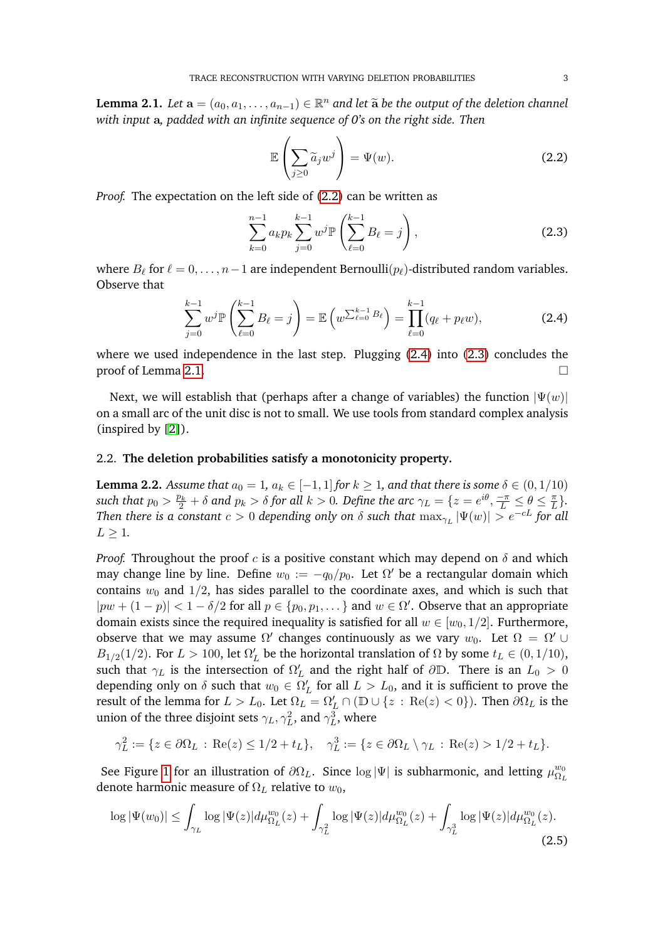<span id="page-2-4"></span>**Lemma 2.1.** *Let*  $\mathbf{a} = (a_0, a_1, \ldots, a_{n-1}) \in \mathbb{R}^n$  and let  $\widetilde{\mathbf{a}}$  be the output of the deletion channel<br>with input a padded with an infinite assumes of  $\theta$ 's an the right side. Then *with input* a*, padded with an infinite sequence of 0's on the right side. Then*

<span id="page-2-1"></span>
$$
\mathbb{E}\left(\sum_{j\geq 0} \widetilde{a}_j w^j\right) = \Psi(w). \tag{2.2}
$$

*Proof.* The expectation on the left side of [\(2.2\)](#page-2-1) can be written as

<span id="page-2-3"></span>
$$
\sum_{k=0}^{n-1} a_k p_k \sum_{j=0}^{k-1} w^j \mathbb{P}\left(\sum_{\ell=0}^{k-1} B_\ell = j\right),\tag{2.3}
$$

where  $B_\ell$  for  $\ell = 0, \ldots, n-1$  are independent Bernoulli $(p_\ell)$ -distributed random variables. Observe that

<span id="page-2-2"></span>
$$
\sum_{j=0}^{k-1} w^j \mathbb{P}\left(\sum_{\ell=0}^{k-1} B_\ell = j\right) = \mathbb{E}\left(w^{\sum_{\ell=0}^{k-1} B_\ell}\right) = \prod_{\ell=0}^{k-1} (q_\ell + p_\ell w),\tag{2.4}
$$

where we used independence in the last step. Plugging [\(2.4\)](#page-2-2) into [\(2.3\)](#page-2-3) concludes the proof of Lemma [2.1.](#page-2-4)  $\Box$ 

Next, we will establish that (perhaps after a change of variables) the function  $|\Psi(w)|$ on a small arc of the unit disc is not to small. We use tools from standard complex analysis (inspired by [\[2\]](#page-8-2)).

## <span id="page-2-0"></span>2.2. **The deletion probabilities satisfy a monotonicity property.**

<span id="page-2-5"></span>**Lemma 2.2.** *Assume that*  $a_0 = 1$ ,  $a_k \in [-1, 1]$  *for*  $k \ge 1$ , and that there is some  $\delta \in (0, 1/10)$  $f$  *such that*  $p_0 > \frac{p_k}{2} + \delta$  *and*  $p_k > \delta$  *for all*  $k > 0$ *. Define the arc*  $\gamma_L = \{z = e^{i\theta}, \frac{-\pi}{L} \leq \theta \leq \frac{\pi}{L}\}$  $\frac{\pi}{L}\}$ . *Then there is a constant*  $c > 0$  *depending only on*  $\delta$  *such that*  $\max_{\gamma_L}|\Psi(w)| > e^{-cL}$  *for all*  $L > 1$ .

*Proof.* Throughout the proof c is a positive constant which may depend on  $\delta$  and which may change line by line. Define  $w_0 := -q_0/p_0$ . Let  $\Omega'$  be a rectangular domain which contains  $w_0$  and 1/2, has sides parallel to the coordinate axes, and which is such that  $|pw + (1-p)| < 1 - \delta/2$  for all  $p \in \{p_0, p_1, \dots\}$  and  $w \in \Omega'$ . Observe that an appropriate domain exists since the required inequality is satisfied for all  $w \in [w_0, 1/2]$ . Furthermore, observe that we may assume  $\Omega'$  changes continuously as we vary  $w_0$ . Let  $\Omega = \Omega' \cup$  $B_{1/2}(1/2)$ . For  $L > 100$ , let  $\Omega'_L$  be the horizontal translation of  $\Omega$  by some  $t_L \in (0, 1/10)$ , such that  $\gamma_L$  is the intersection of  $\Omega'_L$  and the right half of  $\partial \mathbb{D}$ . There is an  $L_0 > 0$ depending only on  $\delta$  such that  $w_0 \in \Omega_L'$  for all  $L > L_0$ , and it is sufficient to prove the result of the lemma for  $L > L_0$ . Let  $\Omega_L = \Omega_L' \cap (\mathbb{D} \cup \{z : \text{Re}(z) < 0\})$ . Then  $\partial \Omega_L$  is the union of the three disjoint sets  $\gamma_L, \gamma_L^2$ , and  $\gamma_L^3$ , where

$$
\gamma_L^2 := \{ z \in \partial \Omega_L : \text{Re}(z) \le 1/2 + t_L \}, \quad \gamma_L^3 := \{ z \in \partial \Omega_L \setminus \gamma_L : \text{Re}(z) > 1/2 + t_L \}.
$$

See Figure [1](#page-3-0) for an illustration of  $\partial\Omega_L$ . Since log |Ψ| is subharmonic, and letting  $\mu_{\Omega}^{w_0}$  $\Omega_L$ denote harmonic measure of  $\Omega_L$  relative to  $w_0$ ,

<span id="page-2-6"></span>
$$
\log|\Psi(w_0)| \leq \int_{\gamma_L} \log|\Psi(z)| d\mu_{\Omega_L}^{w_0}(z) + \int_{\gamma_L^2} \log|\Psi(z)| d\mu_{\Omega_L}^{w_0}(z) + \int_{\gamma_L^3} \log|\Psi(z)| d\mu_{\Omega_L}^{w_0}(z).
$$
\n(2.5)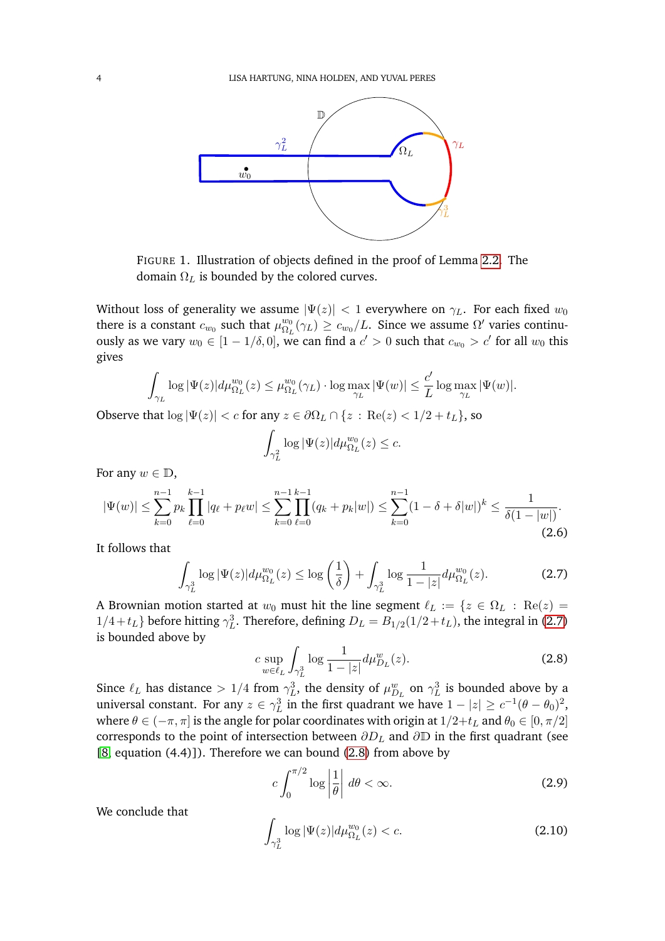

<span id="page-3-0"></span>FIGURE 1. Illustration of objects defined in the proof of Lemma [2.2.](#page-2-5) The domain  $\Omega_L$  is bounded by the colored curves.

Without loss of generality we assume  $|\Psi(z)| < 1$  everywhere on  $\gamma_L$ . For each fixed  $w_0$ there is a constant  $c_{w_0}$  such that  $\mu_{\Omega_I}^{w_0}$  $\frac{w_0}{\Omega_L}(\gamma_L) \geq c_{w_0}/L$ . Since we assume  $\Omega'$  varies continuously as we vary  $w_0 \in [1 - 1/\delta, 0]$ , we can find a  $c' > 0$  such that  $c_{w_0} > c'$  for all  $w_0$  this gives

$$
\int_{\gamma_L} \log |\Psi(z)| d\mu_{\Omega_L}^{w_0}(z) \le \mu_{\Omega_L}^{w_0}(\gamma_L) \cdot \log \max_{\gamma_L} |\Psi(w)| \le \frac{c'}{L} \log \max_{\gamma_L} |\Psi(w)|.
$$

Observe that  $\log |\Psi(z)| < c$  for any  $z \in \partial \Omega_L \cap \{z : \text{Re}(z) < 1/2 + t_L\}$ , so

$$
\int_{\gamma_L^2} \log |\Psi(z)| d\mu_{\Omega_L}^{w_0}(z) \leq c.
$$

For any  $w \in \mathbb{D}$ ,

$$
|\Psi(w)| \le \sum_{k=0}^{n-1} p_k \prod_{\ell=0}^{k-1} |q_\ell + p_\ell w| \le \sum_{k=0}^{n-1} \prod_{\ell=0}^{k-1} (q_k + p_k |w|) \le \sum_{k=0}^{n-1} (1 - \delta + \delta |w|)^k \le \frac{1}{\delta (1 - |w|)}.
$$
\n(2.6)

It follows that

<span id="page-3-1"></span>
$$
\int_{\gamma_L^3} \log |\Psi(z)| d\mu_{\Omega_L}^{w_0}(z) \le \log \left(\frac{1}{\delta}\right) + \int_{\gamma_L^3} \log \frac{1}{1-|z|} d\mu_{\Omega_L}^{w_0}(z). \tag{2.7}
$$

A Brownian motion started at  $w_0$  must hit the line segment  $\ell_L := \{z \in \Omega_L : \text{Re}(z) =$  $1/4 + t_L$ } before hitting  $\gamma_L^3$ . Therefore, defining  $D_L = B_{1/2}(1/2 + t_L)$ , the integral in [\(2.7\)](#page-3-1) is bounded above by

<span id="page-3-2"></span>
$$
c \sup_{w \in \ell_L} \int_{\gamma_L^3} \log \frac{1}{1 - |z|} d\mu_{D_L}^w(z).
$$
 (2.8)

Since  $\ell_L$  has distance  $> 1/4$  from  $\gamma_L^3$ , the density of  $\mu_{D_L}^w$  on  $\gamma_L^3$  is bounded above by a universal constant. For any  $z \in \gamma_L^3$  in the first quadrant we have  $1 - |z| \ge c^{-1}(\theta - \theta_0)^2$ , where  $\theta \in (-\pi, \pi]$  is the angle for polar coordinates with origin at  $1/2+t_L$  and  $\theta_0 \in [0, \pi/2]$ corresponds to the point of intersection between  $\partial D_L$  and  $\partial \mathbb{D}$  in the first quadrant (see  $[8, equation (4.4)]$  $[8, equation (4.4)]$ . Therefore we can bound  $(2.8)$  from above by

$$
c \int_0^{\pi/2} \log \left| \frac{1}{\theta} \right| \, d\theta < \infty. \tag{2.9}
$$

We conclude that

$$
\int_{\gamma_L^3} \log |\Psi(z)| d\mu_{\Omega_L}^{w_0}(z) < c. \tag{2.10}
$$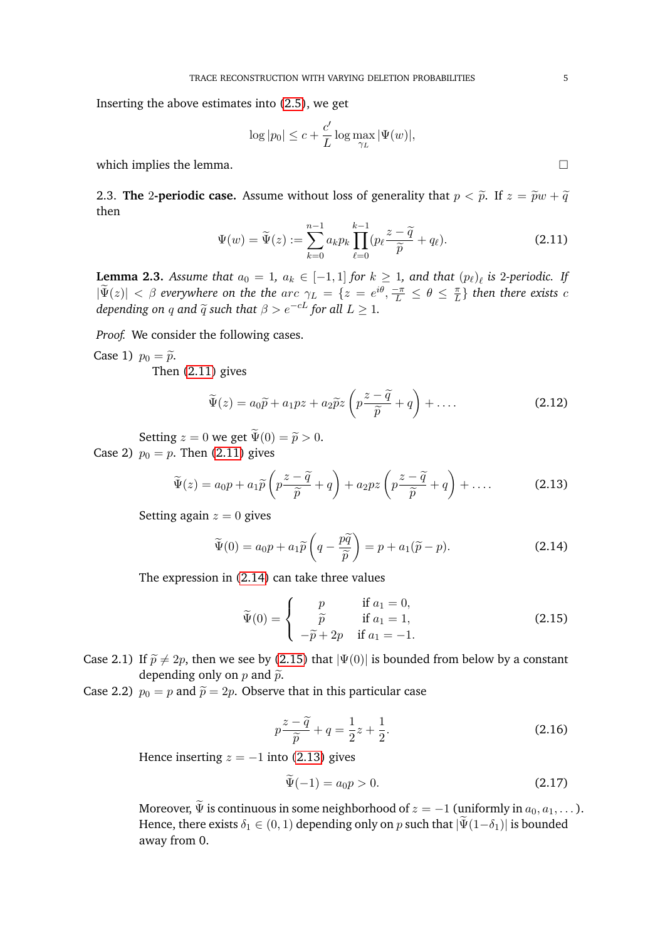Inserting the above estimates into [\(2.5\)](#page-2-6), we get

$$
\log|p_0| \le c + \frac{c'}{L} \log \max_{\gamma_L} |\Psi(w)|,
$$

which implies the lemma.  $\Box$ 

<span id="page-4-0"></span>2.3. **The** 2-**periodic case.** Assume without loss of generality that  $p < \tilde{p}$ . If  $z = \tilde{p}w + \tilde{q}$ then

<span id="page-4-1"></span>
$$
\Psi(w) = \widetilde{\Psi}(z) := \sum_{k=0}^{n-1} a_k p_k \prod_{\ell=0}^{k-1} (p_\ell \frac{z - \widetilde{q}}{\widetilde{p}} + q_\ell).
$$
 (2.11)

<span id="page-4-5"></span>**Lemma 2.3.** Assume that  $a_0 = 1$ ,  $a_k \in [-1,1]$  for  $k \geq 1$ , and that  $(p_\ell)_\ell$  is 2*-periodic.* If  $|\widetilde{\Psi}(z)| < \beta$  everywhere on the the arc  $\gamma_L = \{z = e^{i\theta}, \frac{-\pi}{L} \le \theta \le \frac{\pi}{L}\}$  $\{ \frac{\pi}{L} \}$  then there exists  $c$ *depending on q and*  $\widetilde{q}$  *such that*  $\beta > e^{-cL}$  *for all*  $L \geq 1$ *.* 

*Proof.* We consider the following cases.

Case 1)  $p_0 = \tilde{p}$ .

Then [\(2.11\)](#page-4-1) gives

$$
\widetilde{\Psi}(z) = a_0 \widetilde{p} + a_1 p z + a_2 \widetilde{p} z \left( p \frac{z - \widetilde{q}}{\widetilde{p}} + q \right) + \dots \tag{2.12}
$$

Setting  $z = 0$  we get  $\tilde{\Psi}(0) = \tilde{p} > 0$ . Case 2)  $p_0 = p$ . Then [\(2.11\)](#page-4-1) gives

<span id="page-4-4"></span>
$$
\widetilde{\Psi}(z) = a_0 p + a_1 \widetilde{p} \left( p \frac{z - \widetilde{q}}{\widetilde{p}} + q \right) + a_2 p z \left( p \frac{z - \widetilde{q}}{\widetilde{p}} + q \right) + \dots \tag{2.13}
$$

Setting again  $z = 0$  gives

<span id="page-4-2"></span>
$$
\widetilde{\Psi}(0) = a_0 p + a_1 \widetilde{p}\left(q - \frac{p\widetilde{q}}{\widetilde{p}}\right) = p + a_1(\widetilde{p} - p).
$$
\n(2.14)

The expression in [\(2.14\)](#page-4-2) can take three values

<span id="page-4-3"></span>
$$
\widetilde{\Psi}(0) = \begin{cases}\n p & \text{if } a_1 = 0, \\
\widetilde{p} & \text{if } a_1 = 1, \\
-\widetilde{p} + 2p & \text{if } a_1 = -1.\n\end{cases}
$$
\n(2.15)

Case 2.1) If  $\tilde{p} \neq 2p$ , then we see by [\(2.15\)](#page-4-3) that  $|\Psi(0)|$  is bounded from below by a constant depending only on  $p$  and  $\tilde{p}$ .

Case 2.2)  $p_0 = p$  and  $\tilde{p} = 2p$ . Observe that in this particular case

$$
p\frac{z-\widetilde{q}}{\widetilde{p}}+q=\frac{1}{2}z+\frac{1}{2}.
$$
\n(2.16)

Hence inserting  $z = -1$  into [\(2.13\)](#page-4-4) gives

$$
\Psi(-1) = a_0 p > 0. \tag{2.17}
$$

Moreover,  $\widetilde{\Psi}$  is continuous in some neighborhood of  $z = -1$  (uniformly in  $a_0, a_1, \dots$ ). Hence, there exists  $\delta_1 \in (0,1)$  depending only on p such that  $|\Psi(1-\delta_1)|$  is bounded away from 0.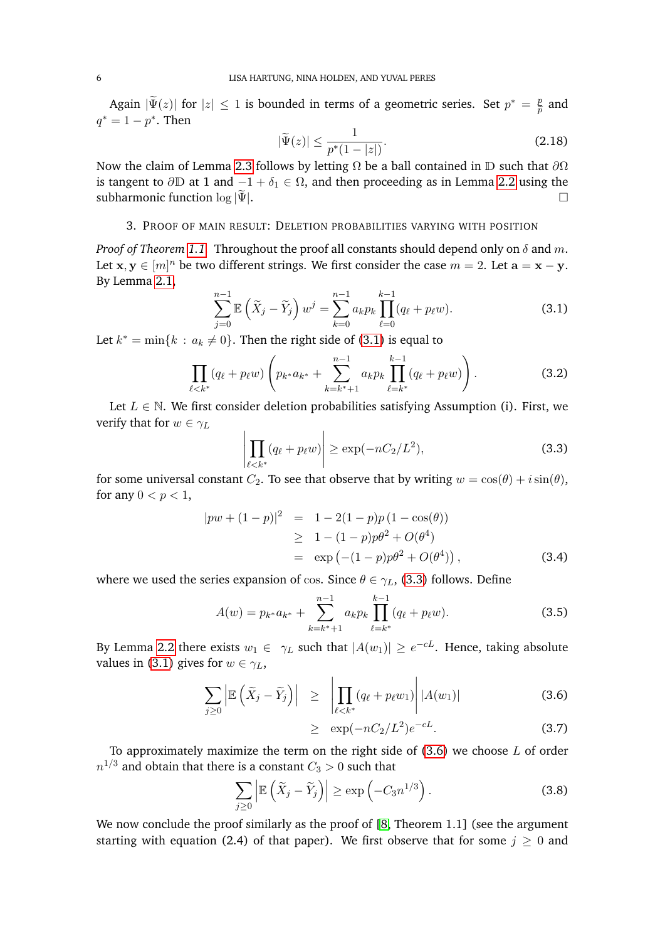Again  $|\widetilde{\Psi}(z)|$  for  $|z| \leq 1$  is bounded in terms of a geometric series. Set  $p^* = \frac{p}{\widetilde{p}}$  $\frac{p}{\widetilde{p}}$  and  $q^* = 1 - p^*$ . Then

$$
|\tilde{\Psi}(z)| \le \frac{1}{p^*(1-|z|)}.\tag{2.18}
$$

Now the claim of Lemma [2.3](#page-4-5) follows by letting  $\Omega$  be a ball contained in D such that  $\partial\Omega$ is tangent to  $\partial D$  at 1 and  $-1 + \delta_1 \in \Omega$ , and then proceeding as in Lemma [2.2](#page-2-5) using the subharmonic function log  $|\Psi|$ .

# 3. PROOF OF MAIN RESULT: DELETION PROBABILITIES VARYING WITH POSITION

<span id="page-5-0"></span>*Proof of Theorem [1.1.](#page-1-0)* Throughout the proof all constants should depend only on  $\delta$  and m. Let  $x, y \in [m]^n$  be two different strings. We first consider the case  $m = 2$ . Let  $\mathbf{a} = \mathbf{x} - \mathbf{y}$ . By Lemma [2.1,](#page-2-4)

<span id="page-5-1"></span>
$$
\sum_{j=0}^{n-1} \mathbb{E}\left(\widetilde{X}_j - \widetilde{Y}_j\right) w^j = \sum_{k=0}^{n-1} a_k p_k \prod_{\ell=0}^{k-1} (q_\ell + p_\ell w).
$$
 (3.1)

Let  $k^* = \min\{k : a_k \neq 0\}$ . Then the right side of [\(3.1\)](#page-5-1) is equal to

$$
\prod_{\ell < k^*} (q_\ell + p_\ell w) \left( p_{k^*} a_{k^*} + \sum_{k=k^*+1}^{n-1} a_k p_k \prod_{\ell=k^*}^{k-1} (q_\ell + p_\ell w) \right). \tag{3.2}
$$

Let  $L \in \mathbb{N}$ . We first consider deletion probabilities satisfying Assumption (i). First, we verify that for  $w \in \gamma_L$ 

<span id="page-5-2"></span>
$$
\left| \prod_{\ell < k^*} (q_\ell + p_\ell w) \right| \ge \exp(-nC_2/L^2),\tag{3.3}
$$

for some universal constant  $C_2$ . To see that observe that by writing  $w = \cos(\theta) + i\sin(\theta)$ , for any  $0 < p < 1$ ,

$$
|pw + (1-p)|^2 = 1 - 2(1-p)p(1 - \cos(\theta))
$$
  
\n
$$
\geq 1 - (1-p)p\theta^2 + O(\theta^4)
$$
  
\n
$$
= \exp(-(1-p)p\theta^2 + O(\theta^4)),
$$
\n(3.4)

where we used the series expansion of cos. Since  $\theta \in \gamma_L$ , [\(3.3\)](#page-5-2) follows. Define

$$
A(w) = p_{k^*} a_{k^*} + \sum_{k=k^*+1}^{n-1} a_k p_k \prod_{\ell=k^*}^{k-1} (q_\ell + p_\ell w).
$$
 (3.5)

By Lemma [2.2](#page-2-5) there exists  $w_1\in~\gamma_L$  such that  $|A(w_1)|\geq e^{-cL}.$  Hence, taking absolute values in [\(3.1\)](#page-5-1) gives for  $w \in \gamma_L$ ,

<span id="page-5-3"></span>
$$
\sum_{j\geq 0} \left| \mathbb{E}\left( \widetilde{X}_j - \widetilde{Y}_j \right) \right| \geq \left| \prod_{\ell < k^*} (q_\ell + p_\ell w_1) \right| |A(w_1)| \tag{3.6}
$$

$$
\geq \exp(-nC_2/L^2)e^{-cL}.\tag{3.7}
$$

To approximately maximize the term on the right side of  $(3.6)$  we choose  $L$  of order  $n^{1/3}$  and obtain that there is a constant  $C_3>0$  such that

$$
\sum_{j\geq 0} \left| \mathbb{E}\left(\tilde{X}_j - \tilde{Y}_j\right) \right| \geq \exp\left(-C_3 n^{1/3}\right). \tag{3.8}
$$

We now conclude the proof similarly as the proof of [\[8,](#page-9-2) Theorem 1.1] (see the argument starting with equation (2.4) of that paper). We first observe that for some  $j \geq 0$  and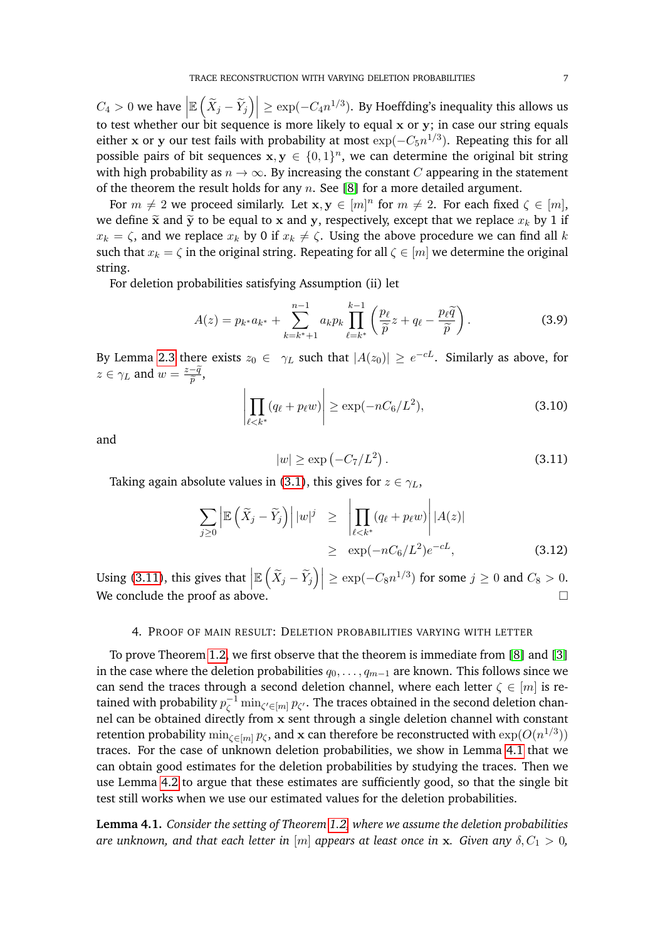$C_4 > 0$  we have  $\Big|$  $\mathbb{E}\left(\widetilde{X}_j - \widetilde{Y}_j\right)\Big| \geq \exp(-C_4 n^{1/3})$ . By Hoeffding's inequality this allows us to test whether our bit sequence is more likely to equal x or y; in case our string equals either **x** or **y** our test fails with probability at most  $\exp(-C_5 n^{1/3})$ . Repeating this for all possible pairs of bit sequences  $x, y \in \{0,1\}^n$ , we can determine the original bit string with high probability as  $n \to \infty$ . By increasing the constant C appearing in the statement of the theorem the result holds for any  $n$ . See [\[8\]](#page-9-2) for a more detailed argument.

For  $m \neq 2$  we proceed similarly. Let  $x, y \in [m]^n$  for  $m \neq 2$ . For each fixed  $\zeta \in [m]$ , we define  $\tilde{\mathbf{x}}$  and  $\tilde{\mathbf{y}}$  to be equal to x and y, respectively, except that we replace  $x_k$  by 1 if  $x_k = \zeta$ , and we replace  $x_k$  by 0 if  $x_k \neq \zeta$ . Using the above procedure we can find all k such that  $x_k = \zeta$  in the original string. Repeating for all  $\zeta \in [m]$  we determine the original string.

For deletion probabilities satisfying Assumption (ii) let

$$
A(z) = p_{k^*} a_{k^*} + \sum_{k=k^*+1}^{n-1} a_k p_k \prod_{\ell=k^*}^{k-1} \left( \frac{p_\ell}{\widetilde{p}} z + q_\ell - \frac{p_\ell \widetilde{q}}{\widetilde{p}} \right).
$$
 (3.9)

By Lemma [2.3](#page-4-5) there exists  $z_0 \in \gamma_L$  such that  $|A(z_0)| \geq e^{-cL}$ . Similarly as above, for  $z \in \gamma_L$  and  $w = \frac{z - \widetilde{q}}{\widetilde{p}}$  $\frac{-q}{\widetilde{p}},$ 

$$
\left| \prod_{\ell < k^*} (q_\ell + p_\ell w) \right| \ge \exp(-nC_6/L^2),\tag{3.10}
$$

and

<span id="page-6-0"></span>
$$
|w| \ge \exp\left(-C_7/L^2\right). \tag{3.11}
$$

Taking again absolute values in [\(3.1\)](#page-5-1), this gives for  $z \in \gamma_L$ ,

$$
\sum_{j\geq 0} \left| \mathbb{E}\left(\widetilde{X}_j - \widetilde{Y}_j\right) \right| |w|^j \geq \left| \prod_{\ell < k^*} (q_\ell + p_\ell w) \right| |A(z)| \leq \exp(-nC_6/L^2) e^{-cL}, \tag{3.12}
$$

Using [\(3.11\)](#page-6-0), this gives that  $\left| \begin{array}{c} 0 & 1 \\ 0 & 1 \end{array} \right|$  $\mathbb{E}\left(\widetilde{X}_j - \widetilde{Y}_j\right)\Big| \geq \exp(-C_8 n^{1/3})$  for some  $j \geq 0$  and  $C_8 > 0$ . We conclude the proof as above.

# 4. PROOF OF MAIN RESULT: DELETION PROBABILITIES VARYING WITH LETTER

To prove Theorem [1.2,](#page-1-2) we first observe that the theorem is immediate from [\[8\]](#page-9-2) and [\[3\]](#page-8-0) in the case where the deletion probabilities  $q_0, \ldots, q_{m-1}$  are known. This follows since we can send the traces through a second deletion channel, where each letter  $\zeta \in [m]$  is retained with probability  $p_{\zeta}^{-1} \min_{\zeta' \in [m]} p_{\zeta'}.$  The traces obtained in the second deletion channel can be obtained directly from x sent through a single deletion channel with constant retention probability  $\min_{\zeta \in [m]} p_\zeta$ , and  ${\bf x}$  can therefore be reconstructed with  $\exp(O(n^{1/3}))$ traces. For the case of unknown deletion probabilities, we show in Lemma [4.1](#page-7-0) that we can obtain good estimates for the deletion probabilities by studying the traces. Then we use Lemma [4.2](#page-7-1) to argue that these estimates are sufficiently good, so that the single bit test still works when we use our estimated values for the deletion probabilities.

**Lemma 4.1.** *Consider the setting of Theorem [1.2,](#page-1-2) where we assume the deletion probabilities are unknown, and that each letter in* [m] *appears at least once in* x. *Given any*  $\delta$ ,  $C_1 > 0$ ,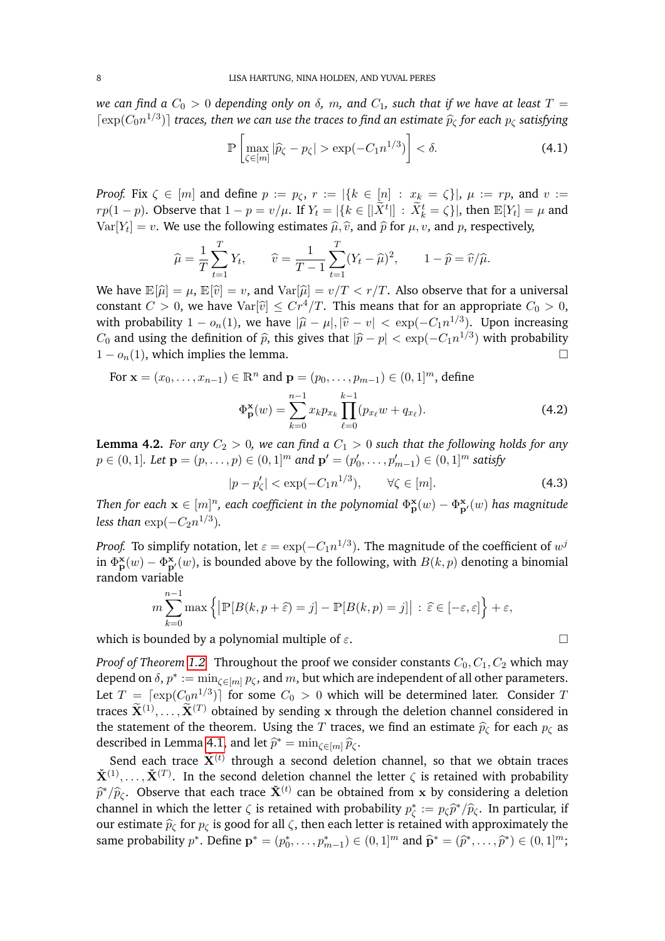*we can find a*  $C_0 > 0$  *depending only on*  $\delta$ *, m, and*  $C_1$ *, such that if we have at least*  $T =$  $\lceil \exp(C_0 n^{1/3}) \rceil$  *traces, then we can use the traces to find an estimate*  $\hat{p}_\zeta$  *for each*  $p_\zeta$  *satisfying* 

<span id="page-7-0"></span>
$$
\mathbb{P}\left[\max_{\zeta \in [m]} |\widehat{p}_{\zeta} - p_{\zeta}| > \exp(-C_1 n^{1/3})\right] < \delta. \tag{4.1}
$$

*Proof.* Fix  $\zeta \in [m]$  and define  $p := p_{\zeta}, r := |\{k \in [n] : x_k = \zeta\}|, \mu := rp$ , and  $v :=$  $r p(1-p)$ . Observe that  $1-p = v/\mu$ . If  $Y_t = |\{k \in [|\tilde{X}^t|] : \tilde{X}_k^t = \zeta\}|$ , then  $\mathbb{E}[Y_t] = \mu$  and  $Var[Y_t] = v$ . We use the following estimates  $\hat{\mu}, \hat{v}$ , and  $\hat{p}$  for  $\mu, v$ , and  $p$ , respectively,

$$
\widehat{\mu} = \frac{1}{T} \sum_{t=1}^{T} Y_t, \qquad \widehat{v} = \frac{1}{T-1} \sum_{t=1}^{T} (Y_t - \widehat{\mu})^2, \qquad 1 - \widehat{p} = \widehat{v}/\widehat{\mu}.
$$

We have  $\mathbb{E}[\hat{\mu}] = \mu$ ,  $\mathbb{E}[\hat{v}] = v$ , and  $\text{Var}[\hat{\mu}] = v/T < r/T$ . Also observe that for a universal constant  $C > 0$ , we have  $Var[\hat{v}] \leq Cr^4/T$ . This means that for an appropriate  $C_0 > 0$ , with probability  $1 - o_n(1)$ , we have  $|\hat{\mu} - \mu|, |\hat{v} - v| < \exp(-C_1 n^{1/3})$ . Upon increasing  $C_1$  and using the definition of  $\hat{\epsilon}$  this gives that  $|\hat{\epsilon} - v| < \exp(-C_1 n^{1/3})$  with probability  $C_0$  and using the definition of  $\hat{p}$ , this gives that  $|\hat{p} - p| < \exp(-C_1 n^{1/3})$  with probability  $1 - o_n(1)$ , which implies the lemma.

For 
$$
\mathbf{x} = (x_0, ..., x_{n-1}) \in \mathbb{R}^n
$$
 and  $\mathbf{p} = (p_0, ..., p_{m-1}) \in (0, 1]^m$ , define  
\n
$$
\Phi_{\mathbf{p}}^{\mathbf{x}}(w) = \sum_{k=0}^{n-1} x_k p_{x_k} \prod_{\ell=0}^{k-1} (p_{x_\ell} w + q_{x_\ell}).
$$
\n(4.2)

**Lemma 4.2.** *For any*  $C_2 > 0$ *, we can find a*  $C_1 > 0$  *such that the following holds for any*  $p ∈ (0, 1]$ *. Let*  $\mathbf{p} = (p, \ldots, p) ∈ (0, 1]^m$  and  $\mathbf{p}' = (p'_0, \ldots, p'_{m-1}) ∈ (0, 1]^m$  satisfy

<span id="page-7-1"></span>
$$
|p - p'_{\zeta}| < \exp(-C_1 n^{1/3}), \qquad \forall \zeta \in [m]. \tag{4.3}
$$

*Then for each*  $\mathbf{x} \in [m]^n$ *, each coefficient in the polynomial*  $\Phi^{\mathbf{x}}_\mathbf{p}(w) - \Phi^{\mathbf{x}}_\mathbf{p'}(w)$  *has magnitude* less than  $\exp(-C_2 n^{1/3})$ .

*Proof.* To simplify notation, let  $\varepsilon = \exp(-C_1 n^{1/3})$ . The magnitude of the coefficient of  $w^j$ in  $\Phi_{\bf p}^{\bf x}(w)-\Phi_{\bf p'}^{\bf x}(w)$ , is bounded above by the following, with  $B(k,p)$  denoting a binomial random variable

$$
m\sum_{k=0}^{n-1} \max \left\{ \left| \mathbb{P}[B(k, p + \widehat{\varepsilon}) = j] - \mathbb{P}[B(k, p) = j] \right| : \widehat{\varepsilon} \in [-\varepsilon, \varepsilon] \right\} + \varepsilon,
$$

which is bounded by a polynomial multiple of  $\varepsilon$ .

*Proof of Theorem 1.2.* Throughout the proof we consider constants 
$$
C_0, C_1, C_2
$$
 which may depend on  $\delta$ ,  $p^* := \min_{\zeta \in [m]} p_{\zeta}$ , and  $m$ , but which are independent of all other parameters.  
Let  $T = [\exp(C_0 n^{1/3})]$  for some  $C_0 > 0$  which will be determined later. Consider  $T$  traces  $\tilde{\mathbf{X}}^{(1)}, \ldots, \tilde{\mathbf{X}}^{(T)}$  obtained by sending  $x$  through the deletion channel considered in the statement of the theorem. Using the  $T$  traces, we find an estimate  $\hat{p}_{\zeta}$  for each  $p_{\zeta}$  as described in Lemma 4.1, and let  $\hat{p}^* = \min_{\zeta \in [m]} \hat{p}_{\zeta}$ .

Send each trace  $\widetilde{\mathbf{X}}^{(t)}$  through a second deletion channel, so that we obtain traces  $\check{\mathbf{X}}^{(1)},\ldots,\check{\mathbf{X}}^{(T)}.$  In the second deletion channel the letter  $\zeta$  is retained with probability  $\hat{p}^*/\hat{p}_\zeta$ . Observe that each trace  $\check{\mathbf{X}}^{(t)}$  can be obtained from x by considering a deletion channel in which the letter  $\zeta$  is retained with probability  $x^*$ .  $\approx \hat{z}^*/\hat{z}$ . In perticular, if channel in which the letter  $\zeta$  is retained with probability  $p_{\zeta}^* := p_{\zeta} \hat{p}^*/\hat{p}_{\zeta}$ . In particular, if our estimate  $\widehat{p}_{\zeta}$  for  $p_{\zeta}$  is good for all  $\zeta$ , then each letter is retained with approximately the same probability  $p^*$ . Define  $\mathbf{p}^* = (p_0^*, \dots, p_{m-1}^*) \in (0, 1]^m$  and  $\widehat{\mathbf{p}}^* = (\widehat{p}^*, \dots, \widehat{p}^*) \in (0, 1]^m$ ;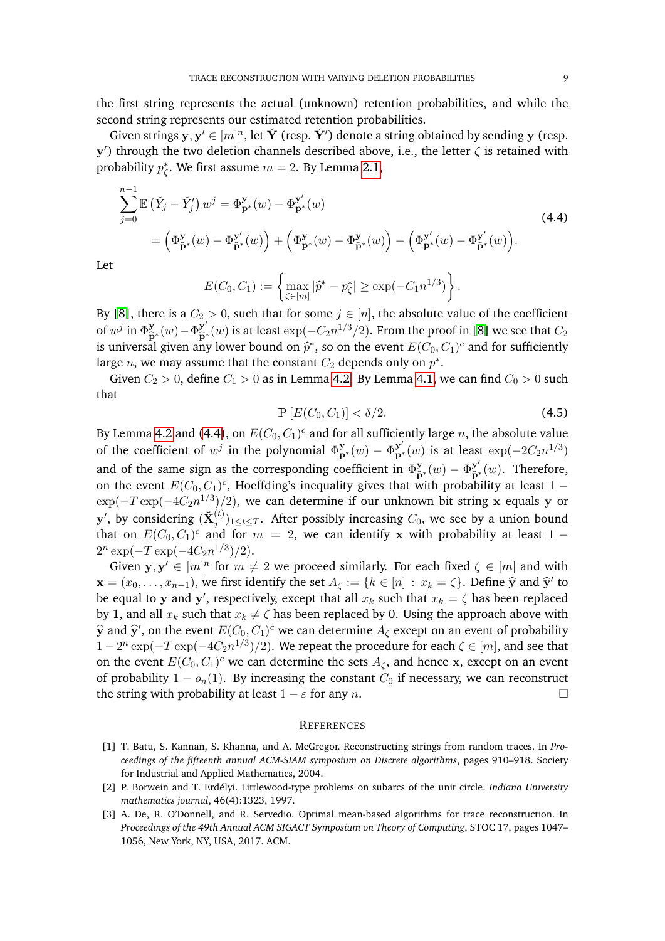the first string represents the actual (unknown) retention probabilities, and while the second string represents our estimated retention probabilities.

Given strings  $y, y' \in [m]^n$ , let  $\check{Y}$  (resp.  $\check{Y}'$ ) denote a string obtained by sending  $y$  (resp.  $y'$ ) through the two deletion channels described above, i.e., the letter  $\zeta$  is retained with probability  $p_{\zeta}^*$ . We first assume  $m=2$ . By Lemma [2.1,](#page-2-4)

<span id="page-8-3"></span>
$$
\sum_{j=0}^{n-1} \mathbb{E} \left( \check{Y}_j - \check{Y}'_j \right) w^j = \Phi_{\mathbf{p}^*}^{\mathbf{y}}(w) - \Phi_{\mathbf{p}^*}^{\mathbf{y}'}(w) \n= \left( \Phi_{\widehat{\mathbf{p}}^*}^{\mathbf{y}}(w) - \Phi_{\widehat{\mathbf{p}}^*}^{\mathbf{y}'}(w) \right) + \left( \Phi_{\mathbf{p}^*}^{\mathbf{y}}(w) - \Phi_{\widehat{\mathbf{p}}^*}^{\mathbf{y}'}(w) \right) - \left( \Phi_{\mathbf{p}^*}^{\mathbf{y}'}(w) - \Phi_{\widehat{\mathbf{p}}^*}^{\mathbf{y}'}(w) \right).
$$
\n(4.4)

Let

$$
E(C_0, C_1) := \left\{ \max_{\zeta \in [m]} |\widehat{p}^* - p_{\zeta}^*| \ge \exp(-C_1 n^{1/3}) \right\}.
$$

By [\[8\]](#page-9-2), there is a  $C_2 > 0$ , such that for some  $j \in [n]$ , the absolute value of the coefficient of  $w^j$  in  $\Phi_{\widehat{P}^*}^{\mathbf{y}}(w) - \Phi_{\widehat{P}^*}^{\mathbf{y}'}(w)$  is at least  $\exp(-C_2 n^{1/3}/2)$ . From the proof in [\[8\]](#page-9-2) we see that  $C_2$ <br>is universal given any lower bound on  $\widehat{\mathcal{P}}^*$  so on the event  $F(C, C)$  is and for suf is universal given any lower bound on  $\hat{p}^*$ , so on the event  $E(C_0, C_1)^c$  and for sufficiently large  $n$ , we may assume that the constant  $C_2$  depends only on  $p^*$ .

Given  $C_2 > 0$ , define  $C_1 > 0$  as in Lemma [4.2.](#page-7-1) By Lemma [4.1,](#page-7-0) we can find  $C_0 > 0$  such that

$$
\mathbb{P}\left[E(C_0, C_1)\right] < \delta/2. \tag{4.5}
$$

By Lemma [4.2](#page-7-1) and [\(4.4\)](#page-8-3), on  $E(C_0, C_1)^c$  and for all sufficiently large  $n$ , the absolute value of the coefficient of  $w^j$  in the polynomial  $\Phi_{\mathbf{p}^*}^{\mathbf{y}}(w) - \Phi_{\mathbf{p}^*}^{\mathbf{y}'}(w)$  is at least  $\exp(-2C_2n^{1/3})$ and of the same sign as the corresponding coefficient in  $\Phi_{\hat{P}^*}^{\mathbf{y}}(w) - \Phi_{\hat{P}^*}^{\mathbf{y}'}(w)$ . Therefore, on the event  $E(C_0, C_1)^c$ , Hoeffding's inequality gives that with probability at least 1 –  $\exp(-T \exp(-4 C_2 n^{1/3})/2)$ , we can determine if our unknown bit string x equals y or  ${\bf y}',$  by considering  $(\check{\bf X}_j^{(t)})_{1\leq t\leq T}.$  After possibly increasing  $C_0,$  we see by a union bound that on  $E(C_0, C_1)^c$  and for  $m = 2$ , we can identify x with probability at least 1 –  $2^n \exp(-T \exp(-4C_2 n^{1/3})/2).$ 

Given  $y, y' \in [m]^n$  for  $m \neq 2$  we proceed similarly. For each fixed  $\zeta \in [m]$  and with  $\mathbf{x} = (x_0, \dots, x_{n-1})$ , we first identify the set  $A_\zeta := \{k \in [n] : x_k = \zeta\}$ . Define  $\hat{\mathbf{y}}$  and  $\hat{\mathbf{y}}'$  to be equal to y and y', respectively, except that all  $x_k$  such that  $x_k = \zeta$  has been replaced by 1, and all  $x_k$  such that  $x_k \neq \zeta$  has been replaced by 0. Using the approach above with  $\hat{y}$  and  $\hat{y}'$ , on the event  $E(C_0, C_1)^c$  we can determine  $A_{\zeta}$  except on an event of probability  $1-2^n\exp(-T\exp(-4C_2n^{1/3})/2).$  We repeat the procedure for each  $\zeta\in[m],$  and see that on the event  $E(C_0, C_1)^c$  we can determine the sets  $A_\zeta$ , and hence x, except on an event of probability  $1 - o_n(1)$ . By increasing the constant  $C_0$  if necessary, we can reconstruct the string with probability at least  $1 - \varepsilon$  for any n.

#### **REFERENCES**

- <span id="page-8-1"></span>[1] T. Batu, S. Kannan, S. Khanna, and A. McGregor. Reconstructing strings from random traces. In *Proceedings of the fifteenth annual ACM-SIAM symposium on Discrete algorithms*, pages 910–918. Society for Industrial and Applied Mathematics, 2004.
- <span id="page-8-2"></span>[2] P. Borwein and T. Erd´elyi. Littlewood-type problems on subarcs of the unit circle. *Indiana University mathematics journal*, 46(4):1323, 1997.
- <span id="page-8-0"></span>[3] A. De, R. O'Donnell, and R. Servedio. Optimal mean-based algorithms for trace reconstruction. In *Proceedings of the 49th Annual ACM SIGACT Symposium on Theory of Computing*, STOC 17, pages 1047– 1056, New York, NY, USA, 2017. ACM.